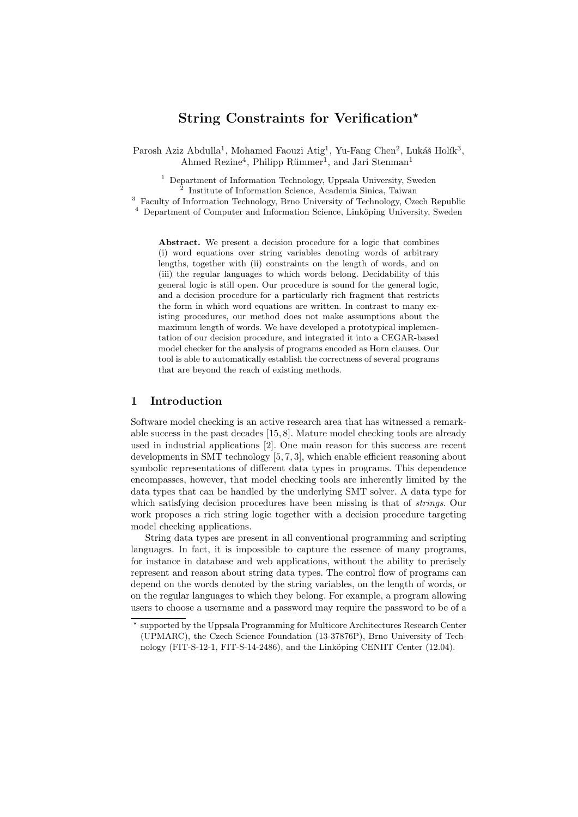# String Constraints for Verification\*

Parosh Aziz Abdulla<sup>1</sup>, Mohamed Faouzi Atig<sup>1</sup>, Yu-Fang Chen<sup>2</sup>, Lukáš Holík<sup>3</sup>, Ahmed Rezine<sup>4</sup>, Philipp Rümmer<sup>1</sup>, and Jari Stenman<sup>1</sup>

<sup>1</sup> Department of Information Technology, Uppsala University, Sweden 2 Institute of Information Science, Academia Sinica, Taiwan

<sup>3</sup> Faculty of Information Technology, Brno University of Technology, Czech Republic

<sup>4</sup> Department of Computer and Information Science, Linköping University, Sweden

Abstract. We present a decision procedure for a logic that combines (i) word equations over string variables denoting words of arbitrary lengths, together with (ii) constraints on the length of words, and on (iii) the regular languages to which words belong. Decidability of this general logic is still open. Our procedure is sound for the general logic, and a decision procedure for a particularly rich fragment that restricts the form in which word equations are written. In contrast to many existing procedures, our method does not make assumptions about the maximum length of words. We have developed a prototypical implementation of our decision procedure, and integrated it into a CEGAR-based model checker for the analysis of programs encoded as Horn clauses. Our tool is able to automatically establish the correctness of several programs that are beyond the reach of existing methods.

# 1 Introduction

Software model checking is an active research area that has witnessed a remarkable success in the past decades [15, 8]. Mature model checking tools are already used in industrial applications [2]. One main reason for this success are recent developments in SMT technology [5, 7, 3], which enable efficient reasoning about symbolic representations of different data types in programs. This dependence encompasses, however, that model checking tools are inherently limited by the data types that can be handled by the underlying SMT solver. A data type for which satisfying decision procedures have been missing is that of *strings*. Our work proposes a rich string logic together with a decision procedure targeting model checking applications.

String data types are present in all conventional programming and scripting languages. In fact, it is impossible to capture the essence of many programs, for instance in database and web applications, without the ability to precisely represent and reason about string data types. The control flow of programs can depend on the words denoted by the string variables, on the length of words, or on the regular languages to which they belong. For example, a program allowing users to choose a username and a password may require the password to be of a

<sup>?</sup> supported by the Uppsala Programming for Multicore Architectures Research Center (UPMARC), the Czech Science Foundation (13-37876P), Brno University of Technology (FIT-S-12-1, FIT-S-14-2486), and the Linköping CENIIT Center (12.04).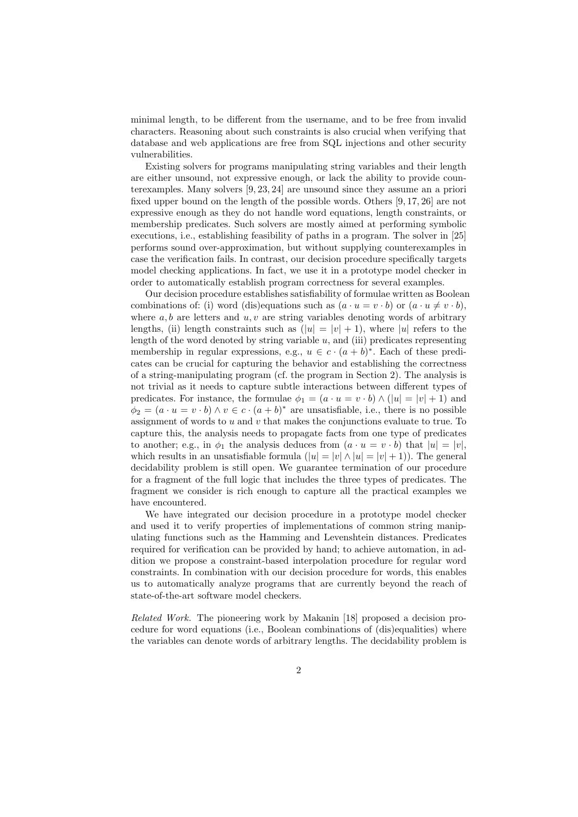minimal length, to be different from the username, and to be free from invalid characters. Reasoning about such constraints is also crucial when verifying that database and web applications are free from SQL injections and other security vulnerabilities.

Existing solvers for programs manipulating string variables and their length are either unsound, not expressive enough, or lack the ability to provide counterexamples. Many solvers [9, 23, 24] are unsound since they assume an a priori fixed upper bound on the length of the possible words. Others [9, 17, 26] are not expressive enough as they do not handle word equations, length constraints, or membership predicates. Such solvers are mostly aimed at performing symbolic executions, i.e., establishing feasibility of paths in a program. The solver in [25] performs sound over-approximation, but without supplying counterexamples in case the verification fails. In contrast, our decision procedure specifically targets model checking applications. In fact, we use it in a prototype model checker in order to automatically establish program correctness for several examples.

Our decision procedure establishes satisfiability of formulae written as Boolean combinations of: (i) word (dis)equations such as  $(a \cdot u = v \cdot b)$  or  $(a \cdot u \neq v \cdot b)$ , where  $a, b$  are letters and  $u, v$  are string variables denoting words of arbitrary lengths, (ii) length constraints such as  $(|u| = |v| + 1)$ , where |u| refers to the length of the word denoted by string variable  $u$ , and (iii) predicates representing membership in regular expressions, e.g.,  $u \in c \cdot (a + b)^*$ . Each of these predicates can be crucial for capturing the behavior and establishing the correctness of a string-manipulating program (cf. the program in Section 2). The analysis is not trivial as it needs to capture subtle interactions between different types of predicates. For instance, the formulae  $\phi_1 = (a \cdot u = v \cdot b) \wedge (|u| = |v| + 1)$  and  $\phi_2 = (a \cdot u = v \cdot b) \wedge v \in c \cdot (a+b)^*$  are unsatisfiable, i.e., there is no possible assignment of words to  $u$  and  $v$  that makes the conjunctions evaluate to true. To capture this, the analysis needs to propagate facts from one type of predicates to another; e.g., in  $\phi_1$  the analysis deduces from  $(a \cdot u = v \cdot b)$  that  $|u| = |v|$ , which results in an unsatisfiable formula  $(|u| = |v| \wedge |u| = |v| + 1)$ . The general decidability problem is still open. We guarantee termination of our procedure for a fragment of the full logic that includes the three types of predicates. The fragment we consider is rich enough to capture all the practical examples we have encountered.

We have integrated our decision procedure in a prototype model checker and used it to verify properties of implementations of common string manipulating functions such as the Hamming and Levenshtein distances. Predicates required for verification can be provided by hand; to achieve automation, in addition we propose a constraint-based interpolation procedure for regular word constraints. In combination with our decision procedure for words, this enables us to automatically analyze programs that are currently beyond the reach of state-of-the-art software model checkers.

Related Work. The pioneering work by Makanin [18] proposed a decision procedure for word equations (i.e., Boolean combinations of (dis)equalities) where the variables can denote words of arbitrary lengths. The decidability problem is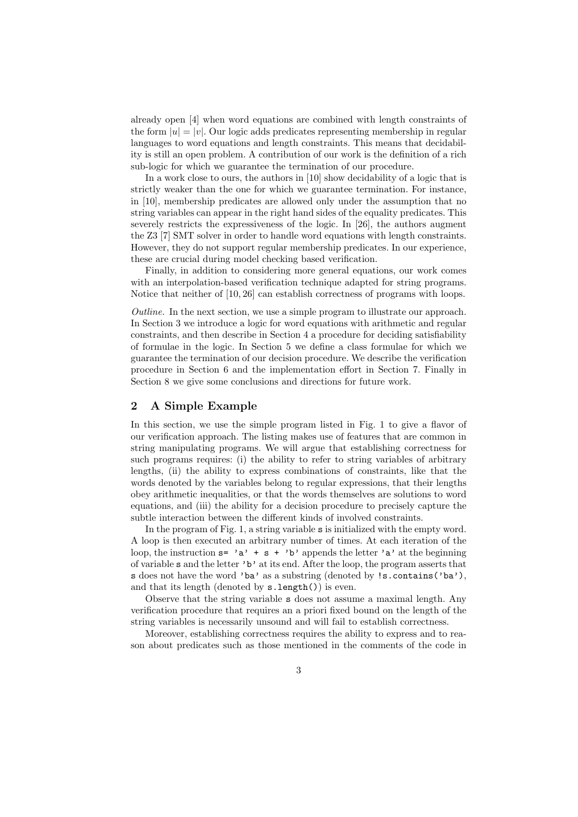already open [4] when word equations are combined with length constraints of the form  $|u| = |v|$ . Our logic adds predicates representing membership in regular languages to word equations and length constraints. This means that decidability is still an open problem. A contribution of our work is the definition of a rich sub-logic for which we guarantee the termination of our procedure.

In a work close to ours, the authors in [10] show decidability of a logic that is strictly weaker than the one for which we guarantee termination. For instance, in [10], membership predicates are allowed only under the assumption that no string variables can appear in the right hand sides of the equality predicates. This severely restricts the expressiveness of the logic. In [26], the authors augment the Z3 [7] SMT solver in order to handle word equations with length constraints. However, they do not support regular membership predicates. In our experience, these are crucial during model checking based verification.

Finally, in addition to considering more general equations, our work comes with an interpolation-based verification technique adapted for string programs. Notice that neither of [10, 26] can establish correctness of programs with loops.

Outline. In the next section, we use a simple program to illustrate our approach. In Section 3 we introduce a logic for word equations with arithmetic and regular constraints, and then describe in Section 4 a procedure for deciding satisfiability of formulae in the logic. In Section 5 we define a class formulae for which we guarantee the termination of our decision procedure. We describe the verification procedure in Section 6 and the implementation effort in Section 7. Finally in Section 8 we give some conclusions and directions for future work.

#### 2 A Simple Example

In this section, we use the simple program listed in Fig. 1 to give a flavor of our verification approach. The listing makes use of features that are common in string manipulating programs. We will argue that establishing correctness for such programs requires: (i) the ability to refer to string variables of arbitrary lengths, (ii) the ability to express combinations of constraints, like that the words denoted by the variables belong to regular expressions, that their lengths obey arithmetic inequalities, or that the words themselves are solutions to word equations, and (iii) the ability for a decision procedure to precisely capture the subtle interaction between the different kinds of involved constraints.

In the program of Fig. 1, a string variable s is initialized with the empty word. A loop is then executed an arbitrary number of times. At each iteration of the loop, the instruction  $s = \{a' + s + b'\}$  appends the letter  $'a'$  at the beginning of variable s and the letter 'b' at its end. After the loop, the program asserts that s does not have the word 'ba' as a substring (denoted by !s.contains('ba'), and that its length (denoted by s.length()) is even.

Observe that the string variable s does not assume a maximal length. Any verification procedure that requires an a priori fixed bound on the length of the string variables is necessarily unsound and will fail to establish correctness.

Moreover, establishing correctness requires the ability to express and to reason about predicates such as those mentioned in the comments of the code in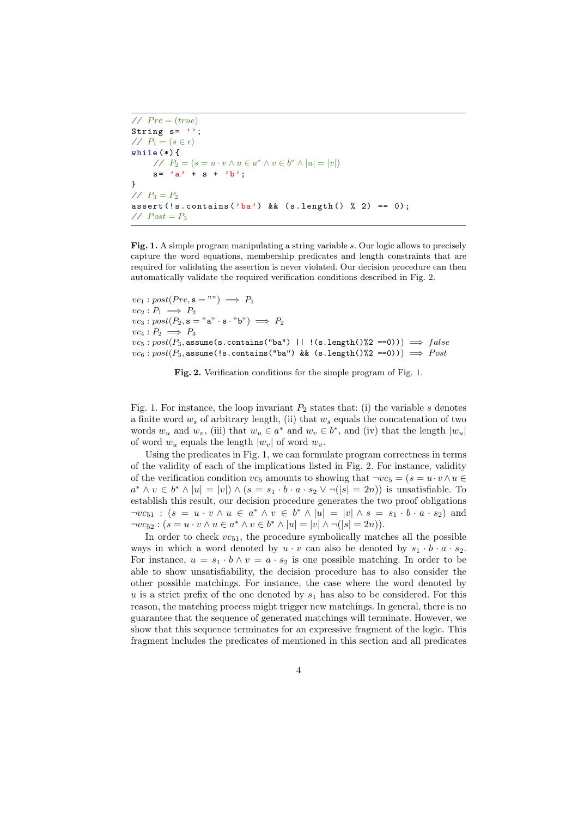//  $Pre = (true)$ String  $s = \cdots$ ; //  $P_1 = (s \in \epsilon)$  $while (*)$ //  $P_2 = (s = u \cdot v \land u \in a^* \land v \in b^* \land |u| = |v|)$  $s = 'a' + s + 'b';$ } //  $P_3 = P_2$ assert (!s. contains ('ba') & & (s. length ()  $\%$  2) == 0); //  $Post = P_3$ 

Fig. 1. A simple program manipulating a string variable s. Our logic allows to precisely capture the word equations, membership predicates and length constraints that are required for validating the assertion is never violated. Our decision procedure can then automatically validate the required verification conditions described in Fig. 2.

 $vc_1 : post(Pre, s = "") \implies P_1$  $vc_2: P_1 \implies P_2$  $vc_3 : post(P_2, s = "a" \cdot s \cdot "b") \implies P_2$  $vc_4: P_2 \implies P_3$  $vc_5: post(P_3, assume(s.contains("ba") || :(s.length() %2 == 0))) \implies false$  $vc_6 : post(P_3, \text{assume}(!s.\text{contains}("ba") \& (s.\text{length}() \% 2 == 0))) \implies Post$ 

Fig. 2. Verification conditions for the simple program of Fig. 1.

Fig. 1. For instance, the loop invariant  $P_2$  states that: (i) the variable s denotes a finite word  $w_s$  of arbitrary length, (ii) that  $w_s$  equals the concatenation of two words  $w_u$  and  $w_v$ , (iii) that  $w_u \in a^*$  and  $w_v \in b^*$ , and (iv) that the length  $|w_u|$ of word  $w_u$  equals the length  $|w_v|$  of word  $w_v$ .

Using the predicates in Fig. 1, we can formulate program correctness in terms of the validity of each of the implications listed in Fig. 2. For instance, validity of the verification condition  $vc_5$  amounts to showing that  $\neg vc_5 = (s = u \cdot v \land u \in$  $a^* \wedge v \in b^* \wedge |u| = |v| \wedge (s = s_1 \cdot b \cdot a \cdot s_2 \vee \neg(|s| = 2n))$  is unsatisfiable. To establish this result, our decision procedure generates the two proof obligations  $\neg vc_{51}$ :  $(s = u \cdot v \land u \in a^* \land v \in b^* \land |u| = |v| \land s = s_1 \cdot b \cdot a \cdot s_2)$  and  $\neg vc_{52} : (s = u \cdot v \land u \in a^* \land v \in b^* \land |u| = |v| \land \neg(|s| = 2n)).$ 

In order to check  $vc_{51}$ , the procedure symbolically matches all the possible ways in which a word denoted by  $u \cdot v$  can also be denoted by  $s_1 \cdot b \cdot a \cdot s_2$ . For instance,  $u = s_1 \cdot b \wedge v = a \cdot s_2$  is one possible matching. In order to be able to show unsatisfiability, the decision procedure has to also consider the other possible matchings. For instance, the case where the word denoted by u is a strict prefix of the one denoted by  $s_1$  has also to be considered. For this reason, the matching process might trigger new matchings. In general, there is no guarantee that the sequence of generated matchings will terminate. However, we show that this sequence terminates for an expressive fragment of the logic. This fragment includes the predicates of mentioned in this section and all predicates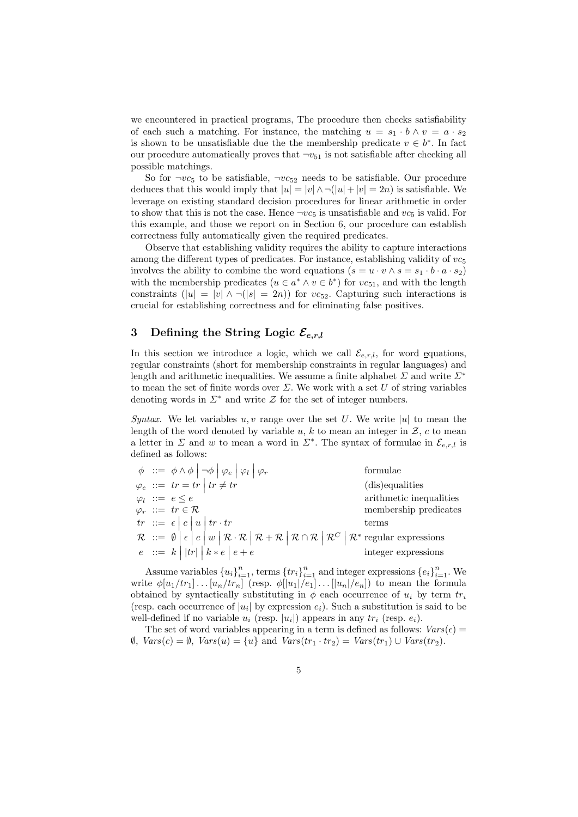we encountered in practical programs, The procedure then checks satisfiability of each such a matching. For instance, the matching  $u = s_1 \cdot b \wedge v = a \cdot s_2$ is shown to be unsatisfiable due the the membership predicate  $v \in b^*$ . In fact our procedure automatically proves that  $\neg v_{51}$  is not satisfiable after checking all possible matchings.

So for  $\neg\nu c_5$  to be satisfiable,  $\neg\nu c_{52}$  needs to be satisfiable. Our procedure deduces that this would imply that  $|u| = |v| \wedge \neg(|u| + |v| = 2n)$  is satisfiable. We leverage on existing standard decision procedures for linear arithmetic in order to show that this is not the case. Hence  $\neg vc_5$  is unsatisfiable and  $vc_5$  is valid. For this example, and those we report on in Section 6, our procedure can establish correctness fully automatically given the required predicates.

Observe that establishing validity requires the ability to capture interactions among the different types of predicates. For instance, establishing validity of  $vc<sub>5</sub>$ involves the ability to combine the word equations  $(s = u \cdot v \wedge s = s_1 \cdot b \cdot a \cdot s_2)$ with the membership predicates  $(u \in a^* \land v \in b^*)$  for  $vc_{51}$ , and with the length constraints  $||u|| = |v| \wedge \neg (|s| = 2n)$  for  $vc_{52}$ . Capturing such interactions is crucial for establishing correctness and for eliminating false positives.

# 3 Defining the String Logic  $\mathcal{E}_{e,r,l}$

In this section we introduce a logic, which we call  $\mathcal{E}_{e,r,l}$ , for word equations, regular constraints (short for membership constraints in regular languages) and length and arithmetic inequalities. We assume a finite alphabet  $\Sigma$  and write  $\Sigma^*$ to mean the set of finite words over  $\Sigma$ . We work with a set U of string variables denoting words in  $\Sigma^*$  and write  $\mathcal Z$  for the set of integer numbers.

Syntax. We let variables  $u, v$  range over the set U. We write |u| to mean the length of the word denoted by variable  $u, k$  to mean an integer in  $Z$ , c to mean a letter in  $\Sigma$  and w to mean a word in  $\Sigma^*$ . The syntax of formulae in  $\mathcal{E}_{e,r,l}$  is defined as follows:

| $\phi$ : $= \phi \wedge \phi \mid \neg \phi \mid \varphi_e \mid \varphi_l \mid \varphi_r$                                                                                                    | formulae                |
|----------------------------------------------------------------------------------------------------------------------------------------------------------------------------------------------|-------------------------|
| $\varphi_e \ ::= \ tr = \tr \vert \ tr \neq \tr \vert$                                                                                                                                       | (dis)equalities         |
| $\varphi_l \ ::= \ e \leq e$                                                                                                                                                                 | arithmetic inequalities |
| $\varphi_r \ ::= \ tr \in \mathcal{R}$                                                                                                                                                       | membership predicates   |
| $tr := \epsilon  c  u   tr \cdot tr$                                                                                                                                                         | terms                   |
| $\mathcal{R} := \emptyset   \epsilon   c   w   \mathcal{R} \cdot \mathcal{R}   \mathcal{R} + \mathcal{R}   \mathcal{R} \cap \mathcal{R}   \mathcal{R}^C   \mathcal{R}^*$ regular expressions |                         |
| $e := k  tr  k * e  e + e$                                                                                                                                                                   | integer expressions     |

Assume variables  ${u_i}_{i=1}^n$ , terms  ${tr_i}_{i=1}^n$  and integer expressions  ${e_i}_{i=1}^n$ . We write  $\phi[u_1/tr_1] \dots [u_n/tr_n]$  (resp.  $\phi[[u_1]/e_1] \dots [[u_n]/e_n]$ ) to mean the formula obtained by syntactically substituting in  $\phi$  each occurrence of  $u_i$  by term  $tr_i$ (resp. each occurrence of  $|u_i|$  by expression  $e_i$ ). Such a substitution is said to be well-defined if no variable  $u_i$  (resp.  $|u_i|$ ) appears in any  $tr_i$  (resp.  $e_i$ ).

The set of word variables appearing in a term is defined as follows:  $Vars(\epsilon)$  =  $\emptyset$ ,  $Vars(c) = \emptyset$ ,  $Vars(u) = \{u\}$  and  $Vars(tr_1 \cdot tr_2) = Vars(tr_1) \cup Vars(tr_2)$ .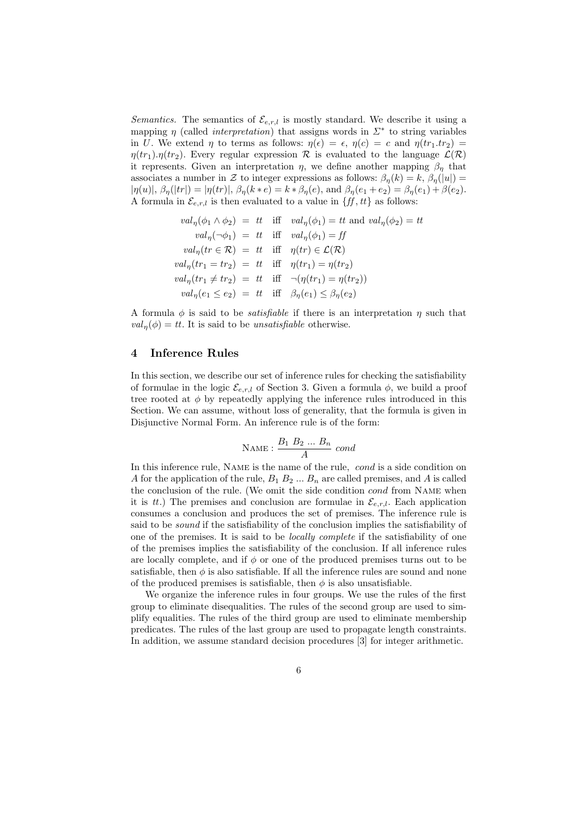Semantics. The semantics of  $\mathcal{E}_{e,r,l}$  is mostly standard. We describe it using a mapping  $\eta$  (called *interpretation*) that assigns words in  $\Sigma^*$  to string variables in U. We extend  $\eta$  to terms as follows:  $\eta(\epsilon) = \epsilon$ ,  $\eta(c) = c$  and  $\eta(tr_1,tr_2) =$  $\eta(tr_1) \cdot \eta(tr_2)$ . Every regular expression R is evaluated to the language  $\mathcal{L}(\mathcal{R})$ it represents. Given an interpretation  $\eta$ , we define another mapping  $\beta_n$  that associates a number in Z to integer expressions as follows:  $\beta_{\eta}(k) = k$ ,  $\beta_{\eta}(u)$  =  $|\eta(u)|, \beta_{\eta}(|tr|) = |\eta(tr)|, \beta_{\eta}(k*e) = k*\beta_{\eta}(e), \text{ and } \beta_{\eta}(e_1+e_2) = \beta_{\eta}(e_1)+\beta(e_2).$ A formula in  $\mathcal{E}_{e,r,l}$  is then evaluated to a value in  $\{ff, tt\}$  as follows:

$$
val_{\eta}(\phi_1 \wedge \phi_2) = tt \quad \text{iff} \quad val_{\eta}(\phi_1) = tt \text{ and } val_{\eta}(\phi_2) = tt
$$
  
\n
$$
val_{\eta}(\neg \phi_1) = tt \quad \text{iff} \quad val_{\eta}(\phi_1) = ff
$$
  
\n
$$
val_{\eta}(tr \in \mathcal{R}) = tt \quad \text{iff} \quad \eta(tr) \in \mathcal{L}(\mathcal{R})
$$
  
\n
$$
val_{\eta}(tr_1 = tr_2) = tt \quad \text{iff} \quad \eta(tr_1) = \eta(tr_2)
$$
  
\n
$$
val_{\eta}(tr_1 \neq tr_2) = tt \quad \text{iff} \quad \neg(\eta(tr_1) = \eta(tr_2))
$$
  
\n
$$
val_{\eta}(e_1 \leq e_2) = tt \quad \text{iff} \quad \beta_{\eta}(e_1) \leq \beta_{\eta}(e_2)
$$

A formula  $\phi$  is said to be *satisfiable* if there is an interpretation  $\eta$  such that  $val_n(\phi) = tt$ . It is said to be unsatisfiable otherwise.

#### 4 Inference Rules

In this section, we describe our set of inference rules for checking the satisfiability of formulae in the logic  $\mathcal{E}_{e,r,l}$  of Section 3. Given a formula  $\phi$ , we build a proof tree rooted at  $\phi$  by repeatedly applying the inference rules introduced in this Section. We can assume, without loss of generality, that the formula is given in Disjunctive Normal Form. An inference rule is of the form:

$$
\text{NAME}: \frac{B_1 \ B_2 \ \dots \ B_n}{A} \ \text{cond}
$$

In this inference rule, Name is the name of the rule, cond is a side condition on A for the application of the rule,  $B_1 B_2 ... B_n$  are called premises, and A is called the conclusion of the rule. (We omit the side condition cond from Name when it is tt.) The premises and conclusion are formulae in  $\mathcal{E}_{e,r,l}$ . Each application consumes a conclusion and produces the set of premises. The inference rule is said to be sound if the satisfiability of the conclusion implies the satisfiability of one of the premises. It is said to be locally complete if the satisfiability of one of the premises implies the satisfiability of the conclusion. If all inference rules are locally complete, and if  $\phi$  or one of the produced premises turns out to be satisfiable, then  $\phi$  is also satisfiable. If all the inference rules are sound and none of the produced premises is satisfiable, then  $\phi$  is also unsatisfiable.

We organize the inference rules in four groups. We use the rules of the first group to eliminate disequalities. The rules of the second group are used to simplify equalities. The rules of the third group are used to eliminate membership predicates. The rules of the last group are used to propagate length constraints. In addition, we assume standard decision procedures [3] for integer arithmetic.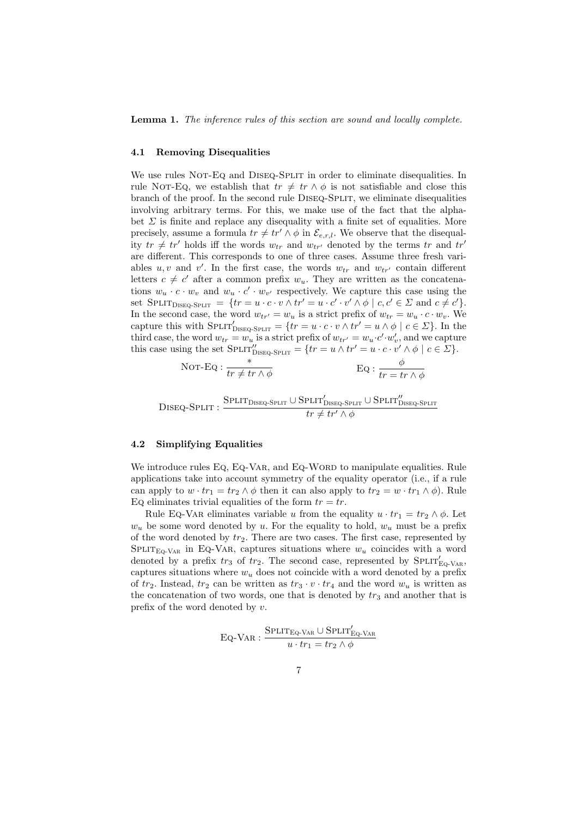**Lemma 1.** The inference rules of this section are sound and locally complete.

#### 4.1 Removing Disequalities

We use rules NOT-EQ and DISEQ-SPLIT in order to eliminate disequalities. In rule Not-Eq, we establish that  $tr \neq tr \wedge \phi$  is not satisfiable and close this branch of the proof. In the second rule Diseq-Split, we eliminate disequalities involving arbitrary terms. For this, we make use of the fact that the alphabet  $\Sigma$  is finite and replace any disequality with a finite set of equalities. More precisely, assume a formula  $tr \neq tr' \wedge \phi$  in  $\mathcal{E}_{e,r,l}$ . We observe that the disequality  $tr \neq tr'$  holds iff the words  $w_{tr}$  and  $w_{tr'}$  denoted by the terms tr and  $tr'$ are different. This corresponds to one of three cases. Assume three fresh variables  $u, v$  and  $v'$ . In the first case, the words  $w_{tr}$  and  $w_{tr'}$  contain different letters  $c \neq c'$  after a common prefix  $w_u$ . They are written as the concatenations  $w_u \cdot c \cdot w_v$  and  $w_u \cdot c' \cdot w_{v'}$  respectively. We capture this case using the set SPLIT<sub>DISEQ-SPLIT</sub> =  $\{tr = u \cdot c \cdot v \wedge tr' = u \cdot c' \cdot v' \wedge \phi \mid c, c' \in \Sigma \text{ and } c \neq c'\}.$ In the second case, the word  $w_{tr'} = w_u$  is a strict prefix of  $w_{tr} = w_u \cdot c \cdot w_v$ . We capture this with  $\text{SPLIT}_{\text{DISEO-SPLIT}}' = \{tr = u \cdot c \cdot v \wedge tr' = u \wedge \phi \mid c \in \Sigma\}.$  In the third case, the word  $w_{tr} = w_u$  is a strict prefix of  $w_{tr'} = w_u \cdot c' \cdot w'_v$ , and we capture this case using the set  $\text{SPLIT}_{\text{DISEO-SPLIT}}'' = \{tr = u \wedge tr' = u \cdot c \cdot v' \wedge \phi \mid c \in \Sigma \}.$ 

NOT-EQ : 
$$
\frac{*}{tr \neq tr \land \phi}
$$
 \tEQ :  $\frac{\phi}{tr = tr \land \phi}$ 

$$
\text{Diseq-Split}: \frac{\text{Split}_{\text{DiscQ-Split}} \cup \text{Split}_{\text{DiscQ-Split}}' \cup \text{Split}_{\text{DiscQ-Split}}''}{tr \neq tr' \land \phi}
$$

#### 4.2 Simplifying Equalities

We introduce rules Eq, Eq-Var, and Eq-Word to manipulate equalities. Rule applications take into account symmetry of the equality operator (i.e., if a rule can apply to  $w \cdot tr_1 = tr_2 \wedge \phi$  then it can also apply to  $tr_2 = w \cdot tr_1 \wedge \phi$ . Rule Eq eliminates trivial equalities of the form  $tr = tr$ .

Rule Eq-Var eliminates variable u from the equality  $u \cdot tr_1 = tr_2 \wedge \phi$ . Let  $w_u$  be some word denoted by u. For the equality to hold,  $w_u$  must be a prefix of the word denoted by  $tr_2$ . There are two cases. The first case, represented by SPLIT<sub>EQ-VAR</sub> in EQ-VAR, captures situations where  $w_u$  coincides with a word denoted by a prefix  $tr_3$  of  $tr_2$ . The second case, represented by  $\text{SPLIT}_{\text{EQ-VAR}}'$ , captures situations where  $w_u$  does not coincide with a word denoted by a prefix of  $tr_2$ . Instead,  $tr_2$  can be written as  $tr_3 \cdot v \cdot tr_4$  and the word  $w_u$  is written as the concatenation of two words, one that is denoted by  $tr_3$  and another that is prefix of the word denoted by  $v$ .

$$
\text{Eq-Var}: \frac{\text{Split}_{\text{Eq-Var}} \cup \text{Split}_{\text{Eq-Var}}'}{u \cdot tr_1 = tr_2 \wedge \phi}
$$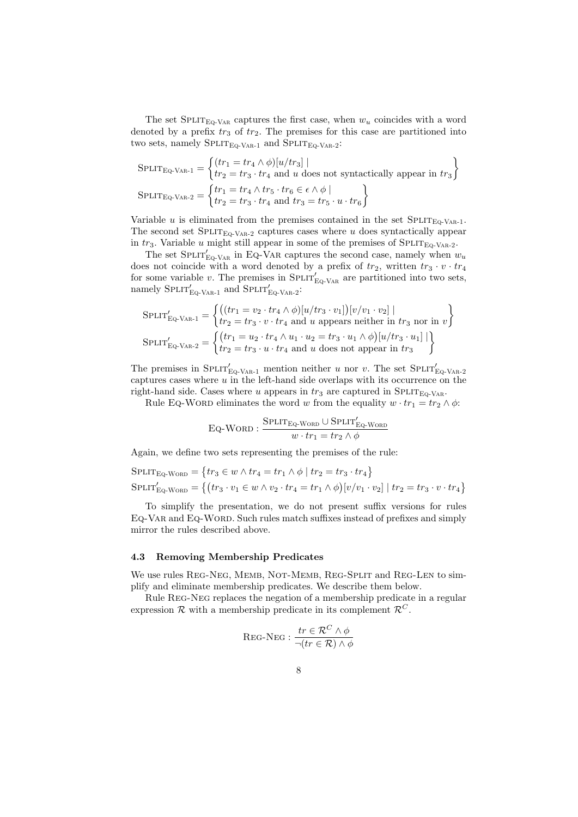The set  $\text{SPLIT}_{\text{Eq-VAR}}$  captures the first case, when  $w_u$  coincides with a word denoted by a prefix  $tr_3$  of  $tr_2$ . The premises for this case are partitioned into two sets, namely  $\text{SPLIT}_{\text{EQ-VAR-1}}$  and  $\text{SPLIT}_{\text{EQ-VAR-2}}$ :

$$
SPLIT_{EQ\text{-VAR-1}} = \begin{cases} (tr_1 = tr_4 \wedge \phi)[u/tr_3] \\ tr_2 = tr_3 \cdot tr_4 \text{ and } u \text{ does not syntactically appear in } tr_3 \end{cases}
$$
  
\n
$$
SPLIT_{EQ\text{-VAR-2}} = \begin{cases} tr_1 = tr_4 \wedge tr_5 \cdot tr_6 \in \epsilon \wedge \phi \mid \\ tr_2 = tr_3 \cdot tr_4 \text{ and } tr_3 = tr_5 \cdot u \cdot tr_6 \end{cases}
$$

Variable u is eliminated from the premises contained in the set  $\text{SPLIT}_{\text{EO-VAR-1}}$ . The second set  $\text{SPLIT}_{\text{EO-VAR-2}}$  captures cases where u does syntactically appear in  $tr_3$ . Variable u might still appear in some of the premises of  $\text{SPLIT}_{\text{EQ-VAR-2}}$ .

The set  $\text{SPLIT}_{\text{EQ-VAR}}'$  in Eq-Var captures the second case, namely when  $w_u$ does not coincide with a word denoted by a prefix of  $tr_2$ , written  $tr_3 \cdot v \cdot tr_4$ for some variable v. The premises in  $\text{SPLIT}_{\text{EO-VAR}}'$  are partitioned into two sets, namely  $\text{SPLIT}_{\text{EO-VAR-1}}'$  and  $\text{SPLIT}_{\text{EO-VAR-2}}'$ :

$$
SPLIT'_{EQ\text{-VAR-1}} = \begin{cases} ((tr_1 = v_2 \cdot tr_4 \wedge \phi)[u/tr_3 \cdot v_1])[v/v_1 \cdot v_2] \mid \\ tr_2 = tr_3 \cdot v \cdot tr_4 \text{ and } u \text{ appears neither in } tr_3 \text{ nor in } v \end{cases}
$$

$$
SPLIT'_{EQ\text{-VAR-2}} = \begin{cases} (tr_1 = u_2 \cdot tr_4 \wedge u_1 \cdot u_2 = tr_3 \cdot u_1 \wedge \phi)[u/tr_3 \cdot u_1] \mid \\ tr_2 = tr_3 \cdot u \cdot tr_4 \text{ and } u \text{ does not appear in } tr_3 \end{cases}
$$

The premises in SPLIT<sub>EO-VAR-1</sub> mention neither u nor v. The set SPLIT<sub>EO-VAR-2</sub> captures cases where  $u$  in the left-hand side overlaps with its occurrence on the right-hand side. Cases where u appears in  $tr_3$  are captured in SPLIT<sub>EQ-VAR</sub>.

Rule EQ-WORD eliminates the word w from the equality  $w \cdot tr_1 = tr_2 \wedge \phi$ :

$$
\text{Eq-WORD}: \frac{\text{Split}_{\text{Eq-WORD}} \cup \text{Split}_{\text{Eq-WORD}}^{\prime}}{w \cdot tr_1 = tr_2 \wedge \phi}
$$

Again, we define two sets representing the premises of the rule:

$$
SPLIT_{EQ\text{-}WORD} = \{ tr_3 \in w \land tr_4 = tr_1 \land \phi \mid tr_2 = tr_3 \cdot tr_4 \}
$$
  
\n
$$
SPLIT'_{EQ\text{-}WORD} = \{ (tr_3 \cdot v_1 \in w \land v_2 \cdot tr_4 = tr_1 \land \phi)[v/v_1 \cdot v_2] \mid tr_2 = tr_3 \cdot v \cdot tr_4 \}
$$

To simplify the presentation, we do not present suffix versions for rules Eq-Var and Eq-Word. Such rules match suffixes instead of prefixes and simply mirror the rules described above.

#### 4.3 Removing Membership Predicates

We use rules REG-NEG, MEMB, NOT-MEMB, REG-SPLIT and REG-LEN to simplify and eliminate membership predicates. We describe them below.

Rule Reg-Neg replaces the negation of a membership predicate in a regular expression  $\mathcal R$  with a membership predicate in its complement  $\mathcal R^C$ .

$$
\text{Reg-NEG}: \frac{tr \in \mathcal{R}^C \wedge \phi}{\neg (tr \in \mathcal{R}) \wedge \phi}
$$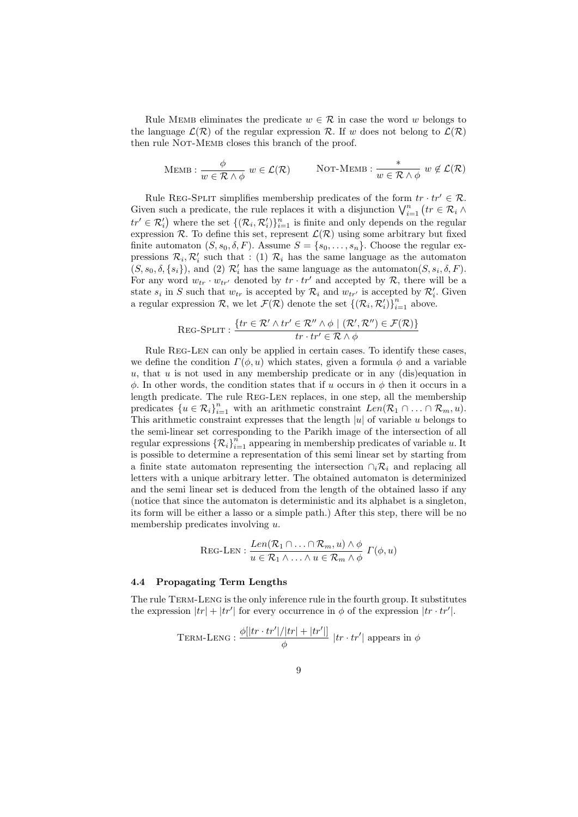Rule MEMB eliminates the predicate  $w \in \mathcal{R}$  in case the word w belongs to the language  $\mathcal{L}(\mathcal{R})$  of the regular expression R. If w does not belong to  $\mathcal{L}(\mathcal{R})$ then rule NOT-MEMB closes this branch of the proof.

$$
\mathrm{MEMB}: \frac{\phi}{w \in \mathcal{R} \land \phi} w \in \mathcal{L}(\mathcal{R}) \qquad \text{NOT-MEMB}: \frac{*}{w \in \mathcal{R} \land \phi} w \notin \mathcal{L}(\mathcal{R})
$$

Rule REG-SPLIT simplifies membership predicates of the form  $tr \cdot tr' \in \mathcal{R}$ . Given such a predicate, the rule replaces it with a disjunction  $\bigvee_{i=1}^{n} (tr \in \mathcal{R}_i \wedge$  $tr' \in \mathcal{R}'_i$  where the set  $\{(\mathcal{R}_i, \mathcal{R}'_i)\}_{i=1}^n$  is finite and only depends on the regular expression  $\mathcal R$ . To define this set, represent  $\mathcal L(\mathcal R)$  using some arbitrary but fixed finite automaton  $(S, s_0, \delta, F)$ . Assume  $S = \{s_0, \ldots, s_n\}$ . Choose the regular expressions  $\mathcal{R}_i, \mathcal{R}'_i$  such that : (1)  $\mathcal{R}_i$  has the same language as the automaton  $(S, s_0, \delta, \{s_i\}),$  and (2)  $\mathcal{R}'_i$  has the same language as the automaton( $S, s_i, \delta, F$ ). For any word  $w_{tr} \cdot w_{tr'}$  denoted by  $tr \cdot tr'$  and accepted by  $\mathcal{R}$ , there will be a state  $s_i$  in S such that  $w_{tr}$  is accepted by  $\mathcal{R}_i$  and  $w_{tr'}$  is accepted by  $\mathcal{R}'_i$ . Given a regular expression  $\mathcal{R}$ , we let  $\mathcal{F}(\mathcal{R})$  denote the set  $\{(\mathcal{R}_i, \mathcal{R}'_i)\}_{i=1}^n$  above.

$$
\text{Reg-SPLIT}: \frac{\{tr \in \mathcal{R}' \land tr' \in \mathcal{R}'' \land \phi \mid (\mathcal{R}', \mathcal{R}'') \in \mathcal{F}(\mathcal{R})\}}{tr \cdot tr' \in \mathcal{R} \land \phi}
$$

Rule Reg-Len can only be applied in certain cases. To identify these cases, we define the condition  $\Gamma(\phi, u)$  which states, given a formula  $\phi$  and a variable  $u$ , that  $u$  is not used in any membership predicate or in any (dis)equation in  $\phi$ . In other words, the condition states that if u occurs in  $\phi$  then it occurs in a length predicate. The rule Reg-Len replaces, in one step, all the membership predicates  $\{u \in \mathcal{R}_i\}_{i=1}^n$  with an arithmetic constraint  $Len(\mathcal{R}_1 \cap ... \cap \mathcal{R}_m, u)$ . This arithmetic constraint expresses that the length  $|u|$  of variable u belongs to the semi-linear set corresponding to the Parikh image of the intersection of all regular expressions  $\{\mathcal{R}_i\}_{i=1}^n$  appearing in membership predicates of variable u. It is possible to determine a representation of this semi linear set by starting from a finite state automaton representing the intersection  $\cap_i \mathcal{R}_i$  and replacing all letters with a unique arbitrary letter. The obtained automaton is determinized and the semi linear set is deduced from the length of the obtained lasso if any (notice that since the automaton is deterministic and its alphabet is a singleton, its form will be either a lasso or a simple path.) After this step, there will be no membership predicates involving u.

$$
\text{Reg-Len}: \frac{Len(\mathcal{R}_1 \cap \ldots \cap \mathcal{R}_m, u) \land \phi}{u \in \mathcal{R}_1 \land \ldots \land u \in \mathcal{R}_m \land \phi} \Gamma(\phi, u)
$$

#### 4.4 Propagating Term Lengths

The rule Term-Leng is the only inference rule in the fourth group. It substitutes the expression  $|tr| + |tr'|$  for every occurrence in  $\phi$  of the expression  $|tr \cdot tr'|$ .

$$
\text{Term-Lens}: \frac{\phi[|tr:tr'|/|tr|+|tr'|]}{\phi} \; |tr:tr'| \text{ appears in } \phi
$$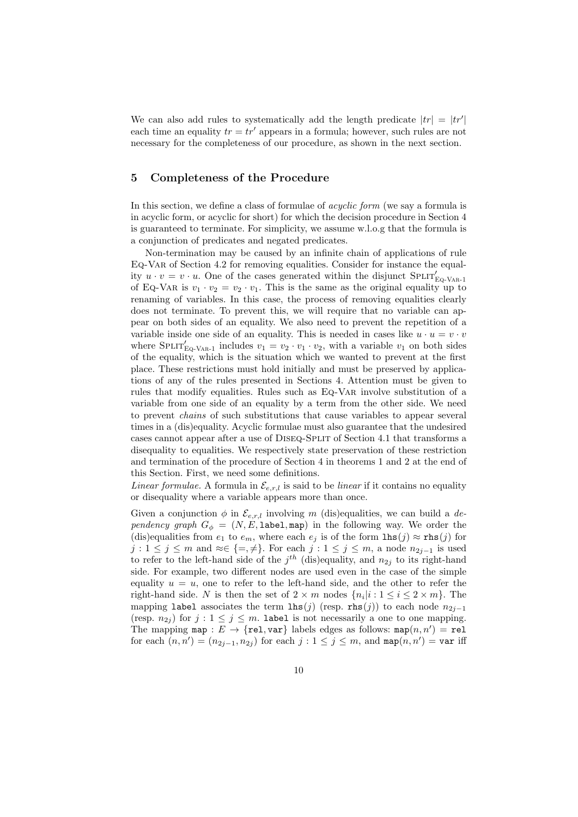We can also add rules to systematically add the length predicate  $|tr| = |tr'|$ each time an equality  $tr = tr'$  appears in a formula; however, such rules are not necessary for the completeness of our procedure, as shown in the next section.

# 5 Completeness of the Procedure

In this section, we define a class of formulae of *acyclic form* (we say a formula is in acyclic form, or acyclic for short) for which the decision procedure in Section 4 is guaranteed to terminate. For simplicity, we assume w.l.o.g that the formula is a conjunction of predicates and negated predicates.

Non-termination may be caused by an infinite chain of applications of rule Eq-Var of Section 4.2 for removing equalities. Consider for instance the equality  $u \cdot v = v \cdot u$ . One of the cases generated within the disjunct SPLIT<sub>EO-VAR-1</sub> of EQ-VAR is  $v_1 \cdot v_2 = v_2 \cdot v_1$ . This is the same as the original equality up to renaming of variables. In this case, the process of removing equalities clearly does not terminate. To prevent this, we will require that no variable can appear on both sides of an equality. We also need to prevent the repetition of a variable inside one side of an equality. This is needed in cases like  $u \cdot u = v \cdot v$ where SPLIT<sub>EQ-VAR-1</sub> includes  $v_1 = v_2 \cdot v_1 \cdot v_2$ , with a variable  $v_1$  on both sides of the equality, which is the situation which we wanted to prevent at the first place. These restrictions must hold initially and must be preserved by applications of any of the rules presented in Sections 4. Attention must be given to rules that modify equalities. Rules such as Eq-VAR involve substitution of a variable from one side of an equality by a term from the other side. We need to prevent chains of such substitutions that cause variables to appear several times in a (dis)equality. Acyclic formulae must also guarantee that the undesired cases cannot appear after a use of Diseq-Split of Section 4.1 that transforms a disequality to equalities. We respectively state preservation of these restriction and termination of the procedure of Section 4 in theorems 1 and 2 at the end of this Section. First, we need some definitions.

Linear formulae. A formula in  $\mathcal{E}_{e,r,l}$  is said to be linear if it contains no equality or disequality where a variable appears more than once.

Given a conjunction  $\phi$  in  $\mathcal{E}_{e,r,l}$  involving m (dis)equalities, we can build a dependency graph  $G_{\phi} = (N, E, \texttt{label}, \texttt{map})$  in the following way. We order the (dis)equalities from  $e_1$  to  $e_m$ , where each  $e_j$  is of the form  $\text{lns}(j) \approx \text{lns}(j)$  for  $j : 1 \leq j \leq m$  and  $\approx \in \{=\neq\}$ . For each  $j : 1 \leq j \leq m$ , a node  $n_{2j-1}$  is used to refer to the left-hand side of the  $j<sup>th</sup>$  (dis)equality, and  $n_{2j}$  to its right-hand side. For example, two different nodes are used even in the case of the simple equality  $u = u$ , one to refer to the left-hand side, and the other to refer the right-hand side. N is then the set of  $2 \times m$  nodes  $\{n_i | i : 1 \le i \le 2 \times m\}$ . The mapping label associates the term lhs(j) (resp. rhs(j)) to each node  $n_{2i-1}$ (resp.  $n_{2j}$ ) for  $j : 1 \leq j \leq m$ . label is not necessarily a one to one mapping. The mapping map :  $E \to \{rel, var\}$  labels edges as follows: map $(n, n') = rel$ for each  $(n, n') = (n_{2j-1}, n_{2j})$  for each  $j : 1 \le j \le m$ , and  $\text{map}(n, n') = \text{var iff}$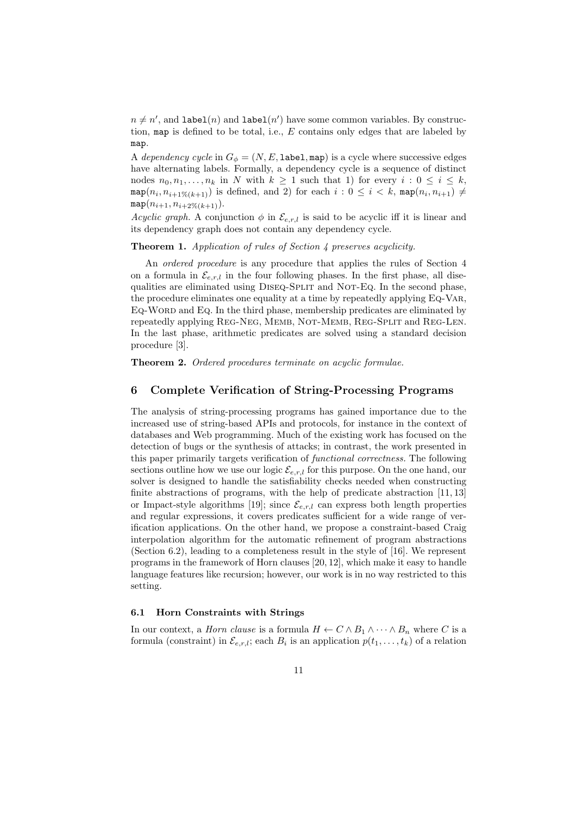$n \neq n'$ , and label $(n)$  and label $(n')$  have some common variables. By construction, map is defined to be total, i.e.,  $E$  contains only edges that are labeled by map.

A dependency cycle in  $G_{\phi} = (N, E, \texttt{label}, \texttt{map})$  is a cycle where successive edges have alternating labels. Formally, a dependency cycle is a sequence of distinct nodes  $n_0, n_1, \ldots, n_k$  in N with  $k \geq 1$  such that 1) for every  $i : 0 \leq i \leq k$ ,  $\mathtt{map}(n_i, n_{i+1\%(k+1)})$  is defined, and 2) for each  $i: 0 \leq i < k$ ,  $\mathtt{map}(n_i, n_{i+1}) \neq k$  $map(n_{i+1}, n_{i+2\%(k+1)}).$ 

Acyclic graph. A conjunction  $\phi$  in  $\mathcal{E}_{e,r,l}$  is said to be acyclic iff it is linear and its dependency graph does not contain any dependency cycle.

Theorem 1. Application of rules of Section 4 preserves acyclicity.

An ordered procedure is any procedure that applies the rules of Section 4 on a formula in  $\mathcal{E}_{e,r,l}$  in the four following phases. In the first phase, all disequalities are eliminated using DISEQ-SPLIT and NOT-EQ. In the second phase, the procedure eliminates one equality at a time by repeatedly applying Eq-Var, Eq-Word and Eq. In the third phase, membership predicates are eliminated by repeatedly applying REG-NEG, MEMB, NOT-MEMB, REG-SPLIT and REG-LEN. In the last phase, arithmetic predicates are solved using a standard decision procedure [3].

Theorem 2. Ordered procedures terminate on acyclic formulae.

# 6 Complete Verification of String-Processing Programs

The analysis of string-processing programs has gained importance due to the increased use of string-based APIs and protocols, for instance in the context of databases and Web programming. Much of the existing work has focused on the detection of bugs or the synthesis of attacks; in contrast, the work presented in this paper primarily targets verification of functional correctness. The following sections outline how we use our logic  $\mathcal{E}_{e,r,l}$  for this purpose. On the one hand, our solver is designed to handle the satisfiability checks needed when constructing finite abstractions of programs, with the help of predicate abstraction  $[11, 13]$ or Impact-style algorithms [19]; since  $\mathcal{E}_{e,r,l}$  can express both length properties and regular expressions, it covers predicates sufficient for a wide range of verification applications. On the other hand, we propose a constraint-based Craig interpolation algorithm for the automatic refinement of program abstractions (Section 6.2), leading to a completeness result in the style of [16]. We represent programs in the framework of Horn clauses [20, 12], which make it easy to handle language features like recursion; however, our work is in no way restricted to this setting.

#### 6.1 Horn Constraints with Strings

In our context, a *Horn clause* is a formula  $H \leftarrow C \wedge B_1 \wedge \cdots \wedge B_n$  where C is a formula (constraint) in  $\mathcal{E}_{e,r,l}$ ; each  $B_i$  is an application  $p(t_1,\ldots,t_k)$  of a relation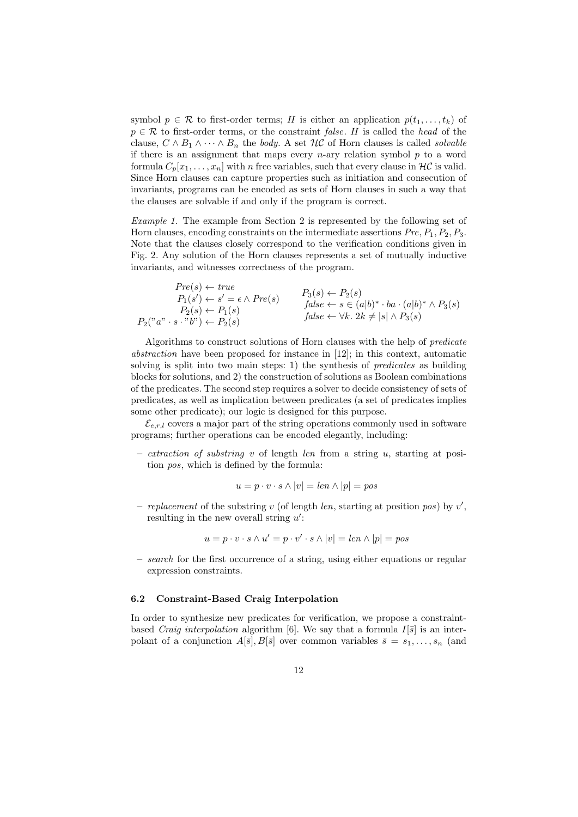symbol  $p \in \mathcal{R}$  to first-order terms; H is either an application  $p(t_1, \ldots, t_k)$  of  $p \in \mathcal{R}$  to first-order terms, or the constraint *false*. H is called the *head* of the clause,  $C \wedge B_1 \wedge \cdots \wedge B_n$  the *body*. A set  $H\mathcal{C}$  of Horn clauses is called *solvable* if there is an assignment that maps every *n*-ary relation symbol  $p$  to a word formula  $C_p[x_1, \ldots, x_n]$  with n free variables, such that every clause in  $\mathcal{HC}$  is valid. Since Horn clauses can capture properties such as initiation and consecution of invariants, programs can be encoded as sets of Horn clauses in such a way that the clauses are solvable if and only if the program is correct.

Example 1. The example from Section 2 is represented by the following set of Horn clauses, encoding constraints on the intermediate assertions  $Pre, P_1, P_2, P_3$ . Note that the clauses closely correspond to the verification conditions given in Fig. 2. Any solution of the Horn clauses represents a set of mutually inductive invariants, and witnesses correctness of the program.

$$
Pre(s) \leftarrow true
$$
  
\n
$$
P_1(s') \leftarrow s' = \epsilon \land Pre(s)
$$
  
\n
$$
P_2(s) \leftarrow P_1(s)
$$
  
\n
$$
P_2(s) \leftarrow P_1(s)
$$
  
\n
$$
P_2("a" \cdot s \cdot "b") \leftarrow P_2(s)
$$
  
\n
$$
P_2(s) \leftarrow P_1(s)
$$
  
\n
$$
false \leftarrow \forall k. 2k \neq |s| \land P_3(s)
$$

Algorithms to construct solutions of Horn clauses with the help of predicate abstraction have been proposed for instance in [12]; in this context, automatic solving is split into two main steps: 1) the synthesis of *predicates* as building blocks for solutions, and 2) the construction of solutions as Boolean combinations of the predicates. The second step requires a solver to decide consistency of sets of predicates, as well as implication between predicates (a set of predicates implies some other predicate); our logic is designed for this purpose.

 $\mathcal{E}_{e,r,l}$  covers a major part of the string operations commonly used in software programs; further operations can be encoded elegantly, including:

– extraction of substring v of length len from a string u, starting at position pos, which is defined by the formula:

$$
u = p \cdot v \cdot s \wedge |v| = len \wedge |p| = pos
$$

– replacement of the substring v (of length len, starting at position pos) by  $v'$ , resulting in the new overall string  $u'$ :

$$
u = p \cdot v \cdot s \wedge u' = p \cdot v' \cdot s \wedge |v| = len \wedge |p| = pos
$$

– search for the first occurrence of a string, using either equations or regular expression constraints.

#### 6.2 Constraint-Based Craig Interpolation

In order to synthesize new predicates for verification, we propose a constraintbased *Craig interpolation* algorithm [6]. We say that a formula  $I[\bar{s}]$  is an interpolant of a conjunction  $A[\bar{s}], B[\bar{s}]$  over common variables  $\bar{s} = s_1, \ldots, s_n$  (and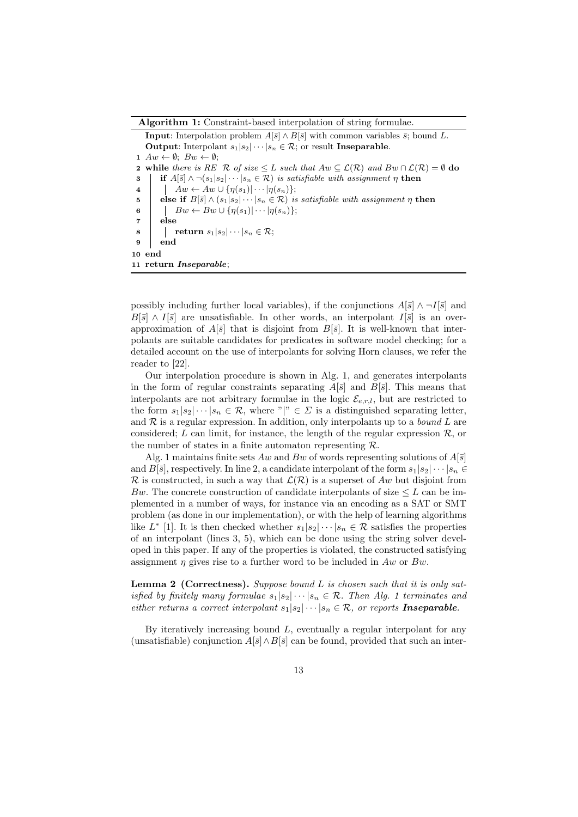Algorithm 1: Constraint-based interpolation of string formulae.

**Input:** Interpolation problem  $A[\bar{s}] \wedge B[\bar{s}]$  with common variables  $\bar{s}$ ; bound L. Output: Interpolant  $s_1|s_2|\cdots|s_n \in \mathcal{R}$ ; or result Inseparable. 1  $Aw \leftarrow \emptyset$ ;  $Bw \leftarrow \emptyset$ ; 2 while there is RE R of size  $\leq L$  such that  $Aw \subseteq \mathcal{L}(\mathcal{R})$  and  $Bw \cap \mathcal{L}(\mathcal{R}) = \emptyset$  do 3 if  $A[\bar{s}] \wedge \neg(s_1|s_2|\cdots|s_n \in \mathcal{R})$  is satisfiable with assignment  $\eta$  then 4  $\mid$   $Aw \leftarrow Aw \cup \{\eta(s_1)| \cdots |\eta(s_n)\};$ 5 else if  $B[\bar{s}] \wedge (s_1|s_2|\cdots|s_n \in \mathcal{R})$  is satisfiable with assignment  $\eta$  then 6 | Bw ← Bw  $\cup$  { $\eta(s_1)|\cdots|\eta(s_n)$ }; 7 else 8 | | return  $s_1|s_2|\cdots|s_n \in \mathcal{R}$ ; 9 end 10 end 11 return Inseparable;

possibly including further local variables), if the conjunctions  $A[\bar{s}] \wedge \neg I[\bar{s}]$  and  $B[\bar{s}] \wedge I[\bar{s}]$  are unsatisfiable. In other words, an interpolant  $I[\bar{s}]$  is an overapproximation of  $A[\bar{s}]$  that is disjoint from  $B[\bar{s}]$ . It is well-known that interpolants are suitable candidates for predicates in software model checking; for a detailed account on the use of interpolants for solving Horn clauses, we refer the reader to [22].

Our interpolation procedure is shown in Alg. 1, and generates interpolants in the form of regular constraints separating  $A[\bar{s}]$  and  $B[\bar{s}]$ . This means that interpolants are not arbitrary formulae in the logic  $\mathcal{E}_{e,r,l}$ , but are restricted to the form  $s_1|s_2|\cdots|s_n \in \mathcal{R}$ , where "|"  $\in \Sigma$  is a distinguished separating letter, and  $R$  is a regular expression. In addition, only interpolants up to a *bound*  $L$  are considered; L can limit, for instance, the length of the regular expression  $\mathcal{R}$ , or the number of states in a finite automaton representing  $\mathcal{R}$ .

Alg. 1 maintains finite sets Aw and Bw of words representing solutions of  $A[\bar{s}]$ and  $B[\bar{s}]$ , respectively. In line 2, a candidate interpolant of the form  $s_1|s_2|\cdots|s_n \in$ R is constructed, in such a way that  $\mathcal{L}(\mathcal{R})$  is a superset of Aw but disjoint from Bw. The concrete construction of candidate interpolants of size  $\leq L$  can be implemented in a number of ways, for instance via an encoding as a SAT or SMT problem (as done in our implementation), or with the help of learning algorithms like  $L^*$  [1]. It is then checked whether  $s_1|s_2|\cdots|s_n \in \mathcal{R}$  satisfies the properties of an interpolant (lines 3, 5), which can be done using the string solver developed in this paper. If any of the properties is violated, the constructed satisfying assignment  $\eta$  gives rise to a further word to be included in Aw or Bw.

**Lemma 2 (Correctness).** Suppose bound L is chosen such that it is only satisfied by finitely many formulae  $s_1|s_2|\cdots|s_n \in \mathcal{R}$ . Then Alg. 1 terminates and either returns a correct interpolant  $s_1|s_2|\cdots|s_n \in \mathcal{R}$ , or reports **Inseparable**.

By iteratively increasing bound  $L$ , eventually a regular interpolant for any (unsatisfiable) conjunction  $A[\bar{s}]\wedge B[\bar{s}]$  can be found, provided that such an inter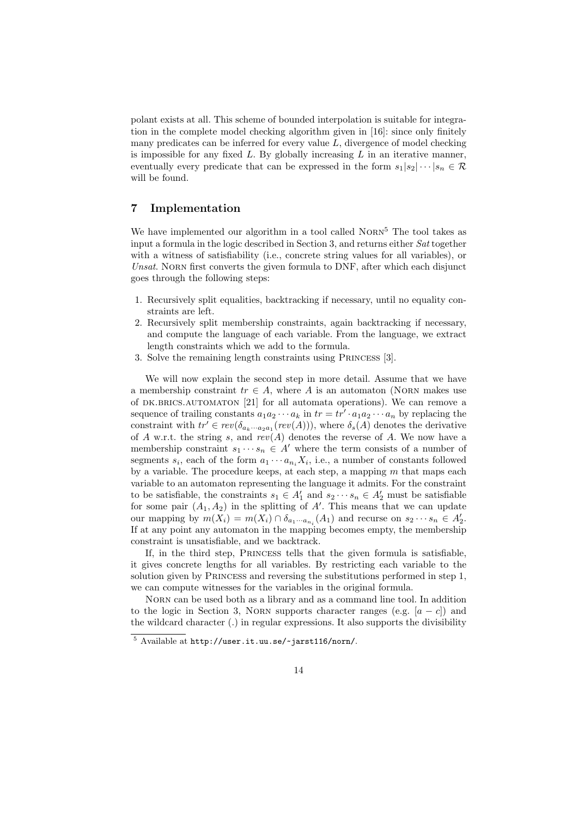polant exists at all. This scheme of bounded interpolation is suitable for integration in the complete model checking algorithm given in [16]: since only finitely many predicates can be inferred for every value  $L$ , divergence of model checking is impossible for any fixed  $L$ . By globally increasing  $L$  in an iterative manner, eventually every predicate that can be expressed in the form  $s_1|s_2|\cdots|s_n \in \mathcal{R}$ will be found.

# 7 Implementation

We have implemented our algorithm in a tool called  $NORN<sup>5</sup>$  The tool takes as input a formula in the logic described in Section 3, and returns either Sat together with a witness of satisfiability (i.e., concrete string values for all variables), or Unsat. NORN first converts the given formula to DNF, after which each disjunct goes through the following steps:

- 1. Recursively split equalities, backtracking if necessary, until no equality constraints are left.
- 2. Recursively split membership constraints, again backtracking if necessary, and compute the language of each variable. From the language, we extract length constraints which we add to the formula.
- 3. Solve the remaining length constraints using Princess [3].

We will now explain the second step in more detail. Assume that we have a membership constraint  $tr \in A$ , where A is an automaton (NORN makes use of dk.brics.automaton [21] for all automata operations). We can remove a sequence of trailing constants  $a_1 a_2 \cdots a_k$  in  $tr = tr' \cdot a_1 a_2 \cdots a_n$  by replacing the constraint with  $tr' \in rev(\delta_{a_k\cdots a_2a_1}(rev(A))),$  where  $\delta_s(A)$  denotes the derivative of A w.r.t. the string s, and  $rev(A)$  denotes the reverse of A. We now have a membership constraint  $s_1 \cdots s_n \in A'$  where the term consists of a number of segments  $s_i$ , each of the form  $a_1 \cdots a_{n_i} X_i$ , i.e., a number of constants followed by a variable. The procedure keeps, at each step, a mapping  $m$  that maps each variable to an automaton representing the language it admits. For the constraint to be satisfiable, the constraints  $s_1 \in A'_1$  and  $s_2 \cdots s_n \in A'_2$  must be satisfiable for some pair  $(A_1, A_2)$  in the splitting of A'. This means that we can update our mapping by  $m(X_i) = m(X_i) \cap \delta_{a_1 \cdots a_{n_i}}(A_1)$  and recurse on  $s_2 \cdots s_n \in A'_2$ . If at any point any automaton in the mapping becomes empty, the membership constraint is unsatisfiable, and we backtrack.

If, in the third step, Princess tells that the given formula is satisfiable, it gives concrete lengths for all variables. By restricting each variable to the solution given by Princess and reversing the substitutions performed in step 1, we can compute witnesses for the variables in the original formula.

Norn can be used both as a library and as a command line tool. In addition to the logic in Section 3, NORN supports character ranges (e.g.  $[a - c]$ ) and the wildcard character (.) in regular expressions. It also supports the divisibility

<sup>5</sup> Available at http://user.it.uu.se/~jarst116/norn/.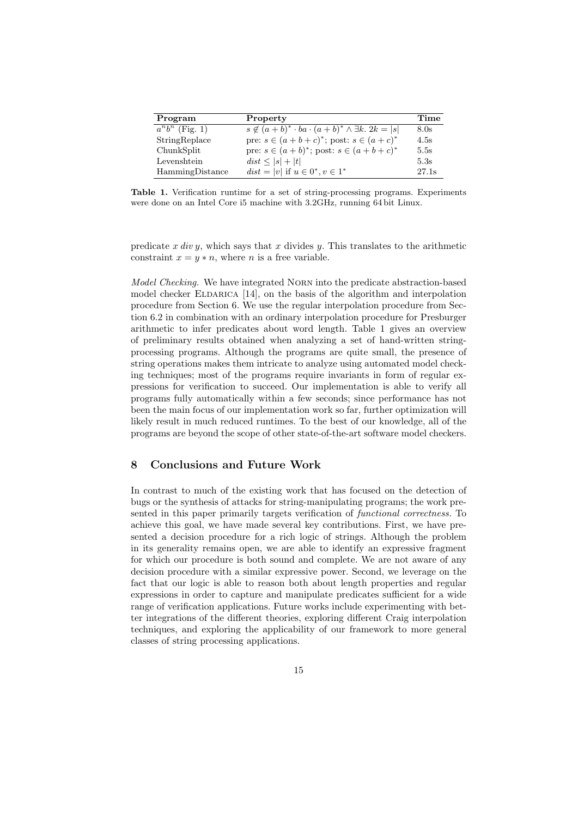| Program            | Property                                                             | Time  |
|--------------------|----------------------------------------------------------------------|-------|
| $a^n b^n$ (Fig. 1) | $s \notin (a+b)^* \cdot ba \cdot (a+b)^* \wedge \exists k. 2k =  s $ | 8.0s  |
| StringReplace      | pre: $s \in (a+b+c)^*$ ; post: $s \in (a+c)^*$                       | 4.5s  |
| ChunkSplit         | pre: $s \in (a+b)^*$ ; post: $s \in (a+b+c)^*$                       | 5.5s  |
| Levenshtein        | $dist <  s  +  t $                                                   | 5.3s  |
| HammingDistance    | <i>dist</i> =  v  if $u \in 0^*, v \in 1^*$                          | 27.1s |

Table 1. Verification runtime for a set of string-processing programs. Experiments were done on an Intel Core i5 machine with 3.2GHz, running 64 bit Linux.

predicate x div y, which says that x divides y. This translates to the arithmetic constraint  $x = y * n$ , where *n* is a free variable.

Model Checking. We have integrated Norn into the predicate abstraction-based model checker ELDARICA [14], on the basis of the algorithm and interpolation procedure from Section 6. We use the regular interpolation procedure from Section 6.2 in combination with an ordinary interpolation procedure for Presburger arithmetic to infer predicates about word length. Table 1 gives an overview of preliminary results obtained when analyzing a set of hand-written stringprocessing programs. Although the programs are quite small, the presence of string operations makes them intricate to analyze using automated model checking techniques; most of the programs require invariants in form of regular expressions for verification to succeed. Our implementation is able to verify all programs fully automatically within a few seconds; since performance has not been the main focus of our implementation work so far, further optimization will likely result in much reduced runtimes. To the best of our knowledge, all of the programs are beyond the scope of other state-of-the-art software model checkers.

### 8 Conclusions and Future Work

In contrast to much of the existing work that has focused on the detection of bugs or the synthesis of attacks for string-manipulating programs; the work presented in this paper primarily targets verification of functional correctness. To achieve this goal, we have made several key contributions. First, we have presented a decision procedure for a rich logic of strings. Although the problem in its generality remains open, we are able to identify an expressive fragment for which our procedure is both sound and complete. We are not aware of any decision procedure with a similar expressive power. Second, we leverage on the fact that our logic is able to reason both about length properties and regular expressions in order to capture and manipulate predicates sufficient for a wide range of verification applications. Future works include experimenting with better integrations of the different theories, exploring different Craig interpolation techniques, and exploring the applicability of our framework to more general classes of string processing applications.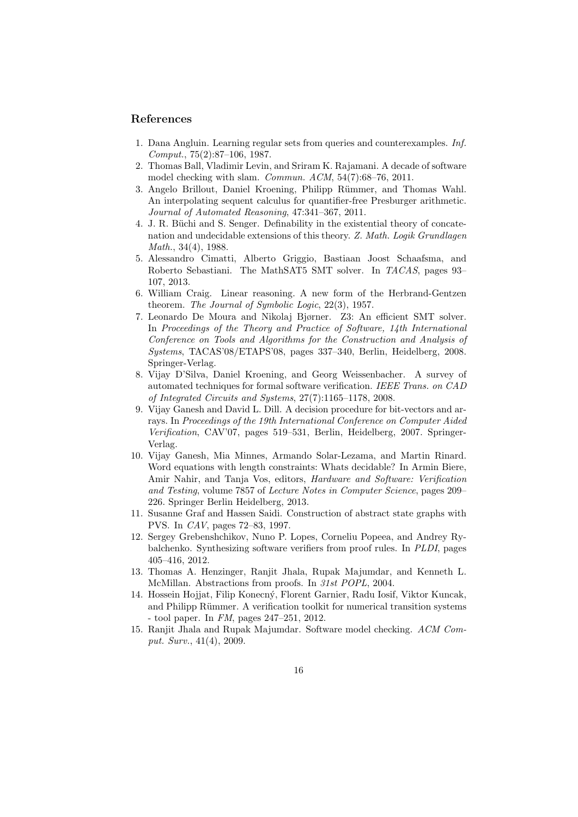#### References

- 1. Dana Angluin. Learning regular sets from queries and counterexamples. Inf. Comput., 75(2):87–106, 1987.
- 2. Thomas Ball, Vladimir Levin, and Sriram K. Rajamani. A decade of software model checking with slam. *Commun. ACM*, 54(7):68-76, 2011.
- 3. Angelo Brillout, Daniel Kroening, Philipp Rümmer, and Thomas Wahl. An interpolating sequent calculus for quantifier-free Presburger arithmetic. Journal of Automated Reasoning, 47:341–367, 2011.
- 4. J. R. Büchi and S. Senger. Definability in the existential theory of concatenation and undecidable extensions of this theory. Z. Math. Logik Grundlagen Math., 34(4), 1988.
- 5. Alessandro Cimatti, Alberto Griggio, Bastiaan Joost Schaafsma, and Roberto Sebastiani. The MathSAT5 SMT solver. In TACAS, pages 93– 107, 2013.
- 6. William Craig. Linear reasoning. A new form of the Herbrand-Gentzen theorem. The Journal of Symbolic Logic, 22(3), 1957.
- 7. Leonardo De Moura and Nikolaj Bjørner. Z3: An efficient SMT solver. In Proceedings of the Theory and Practice of Software, 14th International Conference on Tools and Algorithms for the Construction and Analysis of Systems, TACAS'08/ETAPS'08, pages 337–340, Berlin, Heidelberg, 2008. Springer-Verlag.
- 8. Vijay D'Silva, Daniel Kroening, and Georg Weissenbacher. A survey of automated techniques for formal software verification. IEEE Trans. on CAD of Integrated Circuits and Systems, 27(7):1165–1178, 2008.
- 9. Vijay Ganesh and David L. Dill. A decision procedure for bit-vectors and arrays. In Proceedings of the 19th International Conference on Computer Aided Verification, CAV'07, pages 519–531, Berlin, Heidelberg, 2007. Springer-Verlag.
- 10. Vijay Ganesh, Mia Minnes, Armando Solar-Lezama, and Martin Rinard. Word equations with length constraints: Whats decidable? In Armin Biere, Amir Nahir, and Tanja Vos, editors, Hardware and Software: Verification and Testing, volume 7857 of Lecture Notes in Computer Science, pages 209– 226. Springer Berlin Heidelberg, 2013.
- 11. Susanne Graf and Hassen Saidi. Construction of abstract state graphs with PVS. In CAV, pages 72–83, 1997.
- 12. Sergey Grebenshchikov, Nuno P. Lopes, Corneliu Popeea, and Andrey Rybalchenko. Synthesizing software verifiers from proof rules. In PLDI, pages 405–416, 2012.
- 13. Thomas A. Henzinger, Ranjit Jhala, Rupak Majumdar, and Kenneth L. McMillan. Abstractions from proofs. In 31st POPL, 2004.
- 14. Hossein Hojjat, Filip Konecn´y, Florent Garnier, Radu Iosif, Viktor Kuncak, and Philipp Rümmer. A verification toolkit for numerical transition systems  $-$  tool paper. In FM, pages 247–251, 2012.
- 15. Ranjit Jhala and Rupak Majumdar. Software model checking. ACM Comput. Surv., 41(4), 2009.